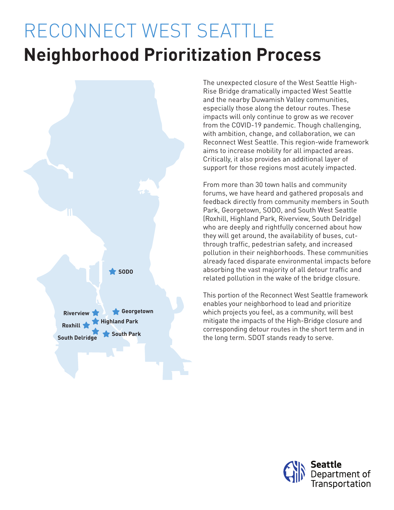# RECONNECT WEST SEATTLE **Neighborhood Prioritization Process**



The unexpected closure of the West Seattle High-Rise Bridge dramatically impacted West Seattle and the nearby Duwamish Valley communities, especially those along the detour routes. These impacts will only continue to grow as we recover from the COVID-19 pandemic. Though challenging, with ambition, change, and collaboration, we can Reconnect West Seattle. This region-wide framework aims to increase mobility for all impacted areas. Critically, it also provides an additional layer of support for those regions most acutely impacted.

From more than 30 town halls and community forums, we have heard and gathered proposals and feedback directly from community members in South Park, Georgetown, SODO, and South West Seattle (Roxhill, Highland Park, Riverview, South Delridge) who are deeply and rightfully concerned about how they will get around, the availability of buses, cutthrough traffic, pedestrian safety, and increased pollution in their neighborhoods. These communities already faced disparate environmental impacts before absorbing the vast majority of all detour traffic and related pollution in the wake of the bridge closure.

This portion of the Reconnect West Seattle framework enables your neighborhood to lead and prioritize which projects you feel, as a community, will best mitigate the impacts of the High-Bridge closure and corresponding detour routes in the short term and in the long term. SDOT stands ready to serve.